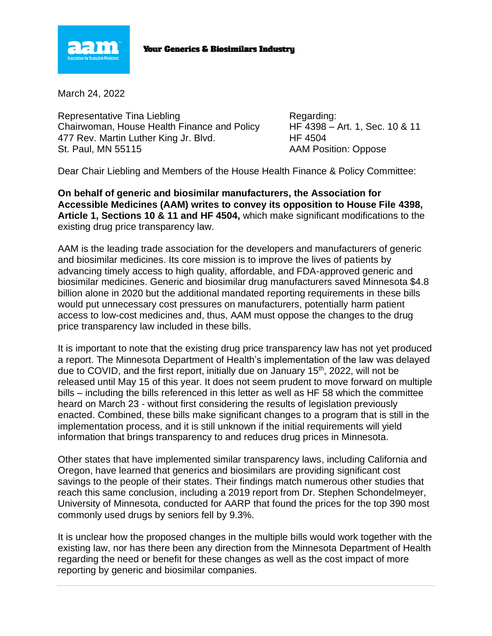

## **Your Generics & Biosimilars Industry**

March 24, 2022

Representative Tina Liebling Regarding: Regarding: Chairwoman, House Health Finance and Policy HF 4398 – Art. 1, Sec. 10 & 11 477 Rev. Martin Luther King Jr. Blvd. HE 4504 St. Paul, MN 55115 **AAM Position: Oppose** 

Dear Chair Liebling and Members of the House Health Finance & Policy Committee:

**On behalf of generic and biosimilar manufacturers, the Association for Accessible Medicines (AAM) writes to convey its opposition to House File 4398, Article 1, Sections 10 & 11 and HF 4504,** which make significant modifications to the existing drug price transparency law.

AAM is the leading trade association for the developers and manufacturers of generic and biosimilar medicines. Its core mission is to improve the lives of patients by advancing timely access to high quality, affordable, and FDA-approved generic and biosimilar medicines. Generic and biosimilar drug manufacturers saved Minnesota \$4.8 billion alone in 2020 but the additional mandated reporting requirements in these bills would put unnecessary cost pressures on manufacturers, potentially harm patient access to low-cost medicines and, thus, AAM must oppose the changes to the drug price transparency law included in these bills.

It is important to note that the existing drug price transparency law has not yet produced a report. The Minnesota Department of Health's implementation of the law was delayed due to COVID, and the first report, initially due on January 15<sup>th</sup>, 2022, will not be released until May 15 of this year. It does not seem prudent to move forward on multiple bills – including the bills referenced in this letter as well as HF 58 which the committee heard on March 23 - without first considering the results of legislation previously enacted. Combined, these bills make significant changes to a program that is still in the implementation process, and it is still unknown if the initial requirements will yield information that brings transparency to and reduces drug prices in Minnesota.

Other states that have implemented similar transparency laws, including California and Oregon, have learned that generics and biosimilars are providing significant cost savings to the people of their states. Their findings match numerous other studies that reach this same conclusion, including a 2019 report from Dr. Stephen Schondelmeyer, University of Minnesota, conducted for AARP that found the prices for the top 390 most commonly used drugs by seniors fell by 9.3%.

It is unclear how the proposed changes in the multiple bills would work together with the existing law, nor has there been any direction from the Minnesota Department of Health regarding the need or benefit for these changes as well as the cost impact of more reporting by generic and biosimilar companies.